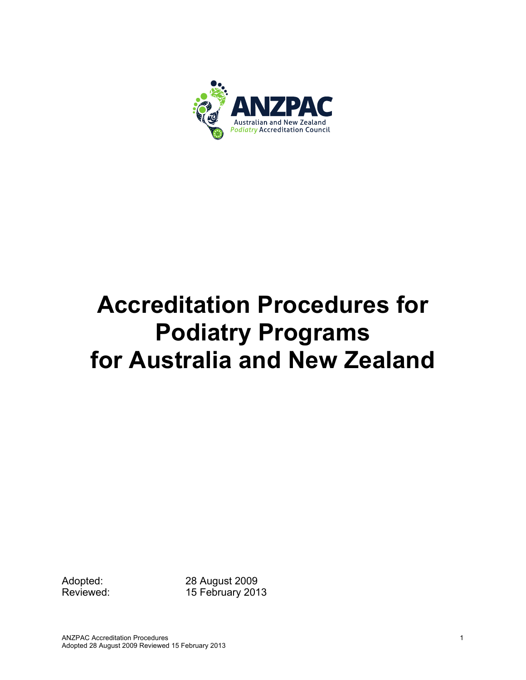

# **Accreditation Procedures for Podiatry Programs for Australia and New Zealand**

Adopted: 28 August 2009 Reviewed: 15 February 2013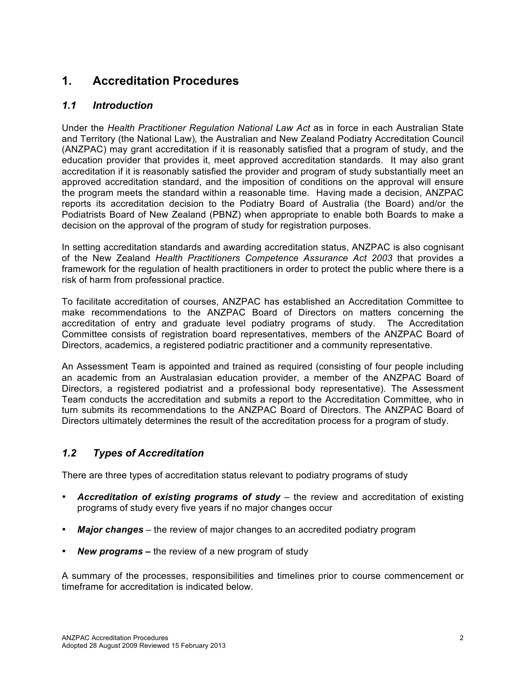# **1. Accreditation Procedures**

## *1.1 Introduction*

Under the *Health Practitioner Regulation National Law Act* as in force in each Australian State and Territory (the National Law)*,* the Australian and New Zealand Podiatry Accreditation Council (ANZPAC) may grant accreditation if it is reasonably satisfied that a program of study, and the education provider that provides it, meet approved accreditation standards. It may also grant accreditation if it is reasonably satisfied the provider and program of study substantially meet an approved accreditation standard, and the imposition of conditions on the approval will ensure the program meets the standard within a reasonable time. Having made a decision, ANZPAC reports its accreditation decision to the Podiatry Board of Australia (the Board) and/or the Podiatrists Board of New Zealand (PBNZ) when appropriate to enable both Boards to make a decision on the approval of the program of study for registration purposes.

In setting accreditation standards and awarding accreditation status, ANZPAC is also cognisant of the New Zealand *Health Practitioners Competence Assurance Act 2003* that provides a framework for the regulation of health practitioners in order to protect the public where there is a risk of harm from professional practice.

To facilitate accreditation of courses, ANZPAC has established an Accreditation Committee to make recommendations to the ANZPAC Board of Directors on matters concerning the accreditation of entry and graduate level podiatry programs of study. The Accreditation Committee consists of registration board representatives, members of the ANZPAC Board of Directors, academics, a registered podiatric practitioner and a community representative.

An Assessment Team is appointed and trained as required (consisting of four people including an academic from an Australasian education provider, a member of the ANZPAC Board of Directors, a registered podiatrist and a professional body representative). The Assessment Team conducts the accreditation and submits a report to the Accreditation Committee, who in turn submits its recommendations to the ANZPAC Board of Directors. The ANZPAC Board of Directors ultimately determines the result of the accreditation process for a program of study.

## *1.2 Types of Accreditation*

There are three types of accreditation status relevant to podiatry programs of study

- *Accreditation of existing programs of study*  the review and accreditation of existing programs of study every five years if no major changes occur
- *Major changes* the review of major changes to an accredited podiatry program
- *New programs –* the review of a new program of study

A summary of the processes, responsibilities and timelines prior to course commencement or timeframe for accreditation is indicated below.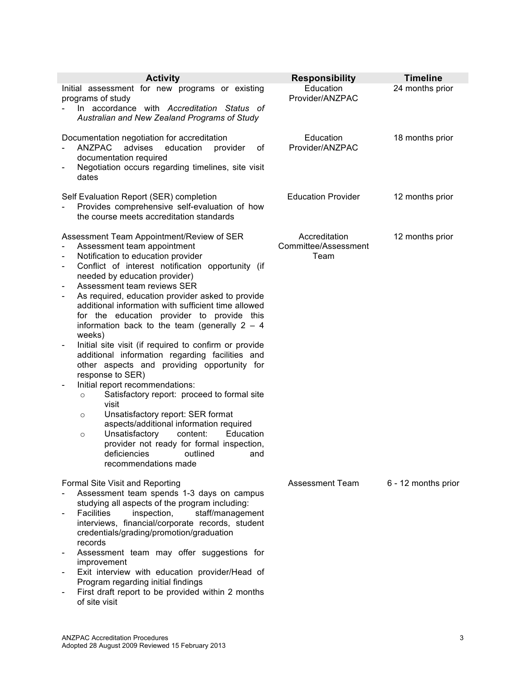| <b>Activity</b>                                                                                                                                                                                                                                                                                                                                                                                                                                                                                                                                                                                                                                                                                                                                                                                                                                                                                                                                                                                                                                                                             | <b>Responsibility</b>                         | <b>Timeline</b>     |
|---------------------------------------------------------------------------------------------------------------------------------------------------------------------------------------------------------------------------------------------------------------------------------------------------------------------------------------------------------------------------------------------------------------------------------------------------------------------------------------------------------------------------------------------------------------------------------------------------------------------------------------------------------------------------------------------------------------------------------------------------------------------------------------------------------------------------------------------------------------------------------------------------------------------------------------------------------------------------------------------------------------------------------------------------------------------------------------------|-----------------------------------------------|---------------------|
| Initial assessment for new programs or existing<br>programs of study<br>In accordance with Accreditation Status of<br>Australian and New Zealand Programs of Study                                                                                                                                                                                                                                                                                                                                                                                                                                                                                                                                                                                                                                                                                                                                                                                                                                                                                                                          | Education<br>Provider/ANZPAC                  | 24 months prior     |
| Documentation negotiation for accreditation<br><b>ANZPAC</b><br>advises<br>education<br>provider<br>οf<br>documentation required<br>Negotiation occurs regarding timelines, site visit<br>-<br>dates                                                                                                                                                                                                                                                                                                                                                                                                                                                                                                                                                                                                                                                                                                                                                                                                                                                                                        | Education<br>Provider/ANZPAC                  | 18 months prior     |
| Self Evaluation Report (SER) completion<br>Provides comprehensive self-evaluation of how<br>the course meets accreditation standards                                                                                                                                                                                                                                                                                                                                                                                                                                                                                                                                                                                                                                                                                                                                                                                                                                                                                                                                                        | <b>Education Provider</b>                     | 12 months prior     |
| Assessment Team Appointment/Review of SER<br>Assessment team appointment<br>Notification to education provider<br>$\overline{\phantom{a}}$<br>Conflict of interest notification opportunity (if<br>$\overline{\phantom{a}}$<br>needed by education provider)<br>Assessment team reviews SER<br>As required, education provider asked to provide<br>additional information with sufficient time allowed<br>for the education provider to provide this<br>information back to the team (generally $2 - 4$<br>weeks)<br>Initial site visit (if required to confirm or provide<br>additional information regarding facilities and<br>other aspects and providing opportunity for<br>response to SER)<br>Initial report recommendations:<br>$\overline{\phantom{a}}$<br>Satisfactory report: proceed to formal site<br>$\circ$<br>visit<br>Unsatisfactory report: SER format<br>$\circ$<br>aspects/additional information required<br>Unsatisfactory<br>Education<br>content:<br>$\circ$<br>provider not ready for formal inspection,<br>deficiencies<br>outlined<br>and<br>recommendations made | Accreditation<br>Committee/Assessment<br>Team | 12 months prior     |
| Formal Site Visit and Reporting<br>Assessment team spends 1-3 days on campus<br>studying all aspects of the program including:<br><b>Facilities</b><br>inspection,<br>staff/management<br>$\qquad \qquad \blacksquare$<br>interviews, financial/corporate records, student<br>credentials/grading/promotion/graduation<br>records<br>Assessment team may offer suggestions for<br>improvement<br>Exit interview with education provider/Head of<br>Program regarding initial findings<br>First draft report to be provided within 2 months<br>of site visit                                                                                                                                                                                                                                                                                                                                                                                                                                                                                                                                 | <b>Assessment Team</b>                        | 6 - 12 months prior |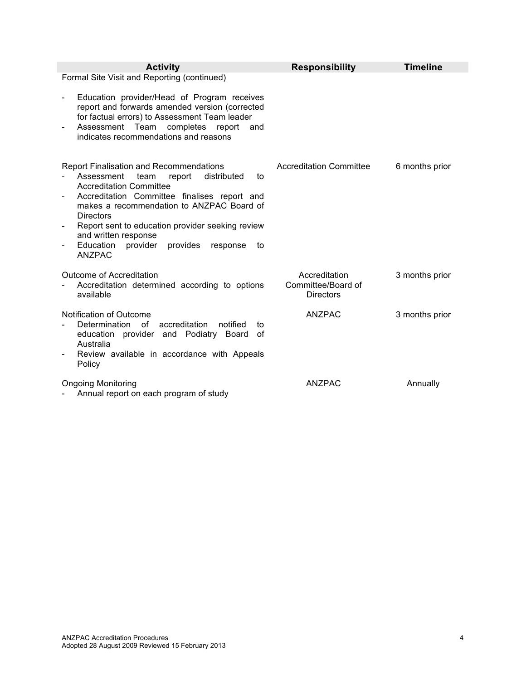| <b>Activity</b>                                                                                                                               | <b>Responsibility</b>                                   | <b>Timeline</b> |
|-----------------------------------------------------------------------------------------------------------------------------------------------|---------------------------------------------------------|-----------------|
| Formal Site Visit and Reporting (continued)<br>Education provider/Head of Program receives<br>report and forwards amended version (corrected  |                                                         |                 |
| for factual errors) to Assessment Team leader<br>Assessment<br>Team<br>completes<br>report<br>and<br>indicates recommendations and reasons    |                                                         |                 |
| <b>Report Finalisation and Recommendations</b><br>Assessment<br>distributed<br>team<br>report<br>to<br><b>Accreditation Committee</b>         | <b>Accreditation Committee</b>                          | 6 months prior  |
| Accreditation Committee finalises report and<br>makes a recommendation to ANZPAC Board of<br><b>Directors</b>                                 |                                                         |                 |
| Report sent to education provider seeking review<br>and written response                                                                      |                                                         |                 |
| Education<br>provider<br>provides<br>response<br>to<br><b>ANZPAC</b>                                                                          |                                                         |                 |
| Outcome of Accreditation<br>Accreditation determined according to options<br>available                                                        | Accreditation<br>Committee/Board of<br><b>Directors</b> | 3 months prior  |
| Notification of Outcome<br>Determination of<br>accreditation<br>notified<br>to<br>education provider and Podiatry<br>Board<br>0f<br>Australia | ANZPAC                                                  | 3 months prior  |
| Review available in accordance with Appeals<br>Policy                                                                                         |                                                         |                 |
| <b>Ongoing Monitoring</b><br>Annual report on each program of study                                                                           | <b>ANZPAC</b>                                           | Annually        |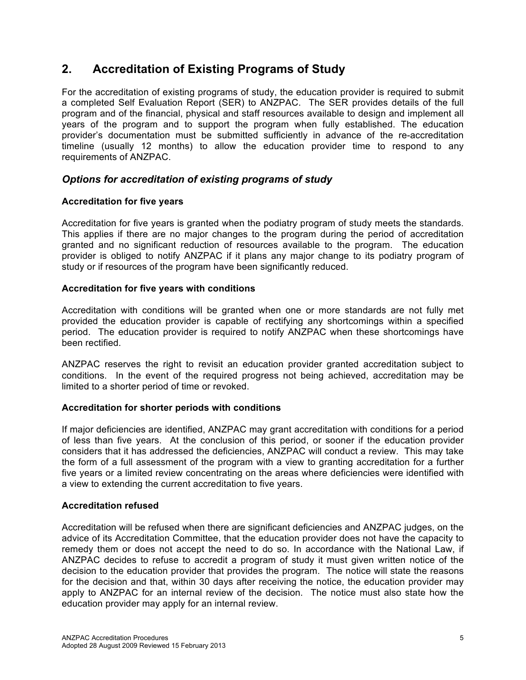# **2. Accreditation of Existing Programs of Study**

For the accreditation of existing programs of study, the education provider is required to submit a completed Self Evaluation Report (SER) to ANZPAC. The SER provides details of the full program and of the financial, physical and staff resources available to design and implement all years of the program and to support the program when fully established. The education provider's documentation must be submitted sufficiently in advance of the re-accreditation timeline (usually 12 months) to allow the education provider time to respond to any requirements of ANZPAC.

## *Options for accreditation of existing programs of study*

#### **Accreditation for five years**

Accreditation for five years is granted when the podiatry program of study meets the standards. This applies if there are no major changes to the program during the period of accreditation granted and no significant reduction of resources available to the program. The education provider is obliged to notify ANZPAC if it plans any major change to its podiatry program of study or if resources of the program have been significantly reduced.

#### **Accreditation for five years with conditions**

Accreditation with conditions will be granted when one or more standards are not fully met provided the education provider is capable of rectifying any shortcomings within a specified period. The education provider is required to notify ANZPAC when these shortcomings have been rectified.

ANZPAC reserves the right to revisit an education provider granted accreditation subject to conditions. In the event of the required progress not being achieved, accreditation may be limited to a shorter period of time or revoked.

#### **Accreditation for shorter periods with conditions**

If major deficiencies are identified, ANZPAC may grant accreditation with conditions for a period of less than five years. At the conclusion of this period, or sooner if the education provider considers that it has addressed the deficiencies, ANZPAC will conduct a review. This may take the form of a full assessment of the program with a view to granting accreditation for a further five years or a limited review concentrating on the areas where deficiencies were identified with a view to extending the current accreditation to five years.

#### **Accreditation refused**

Accreditation will be refused when there are significant deficiencies and ANZPAC judges, on the advice of its Accreditation Committee, that the education provider does not have the capacity to remedy them or does not accept the need to do so. In accordance with the National Law, if ANZPAC decides to refuse to accredit a program of study it must given written notice of the decision to the education provider that provides the program. The notice will state the reasons for the decision and that, within 30 days after receiving the notice, the education provider may apply to ANZPAC for an internal review of the decision. The notice must also state how the education provider may apply for an internal review.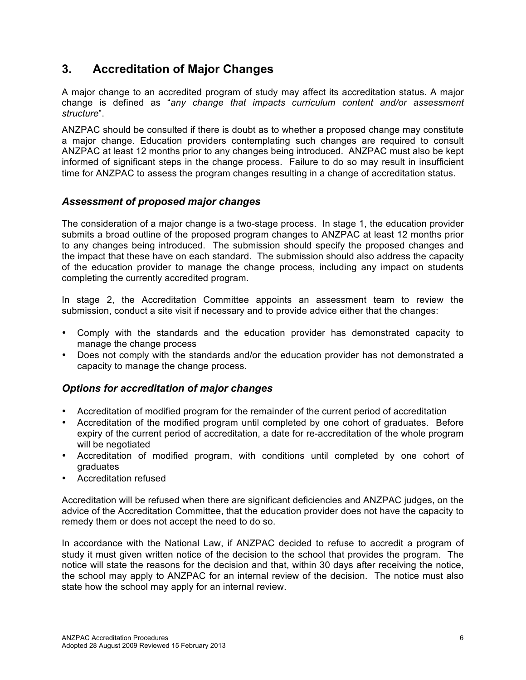# **3. Accreditation of Major Changes**

A major change to an accredited program of study may affect its accreditation status. A major change is defined as "*any change that impacts curriculum content and/or assessment structure*".

ANZPAC should be consulted if there is doubt as to whether a proposed change may constitute a major change. Education providers contemplating such changes are required to consult ANZPAC at least 12 months prior to any changes being introduced. ANZPAC must also be kept informed of significant steps in the change process. Failure to do so may result in insufficient time for ANZPAC to assess the program changes resulting in a change of accreditation status.

## *Assessment of proposed major changes*

The consideration of a major change is a two-stage process. In stage 1, the education provider submits a broad outline of the proposed program changes to ANZPAC at least 12 months prior to any changes being introduced. The submission should specify the proposed changes and the impact that these have on each standard. The submission should also address the capacity of the education provider to manage the change process, including any impact on students completing the currently accredited program.

In stage 2, the Accreditation Committee appoints an assessment team to review the submission, conduct a site visit if necessary and to provide advice either that the changes:

- Comply with the standards and the education provider has demonstrated capacity to manage the change process
- Does not comply with the standards and/or the education provider has not demonstrated a capacity to manage the change process.

## *Options for accreditation of major changes*

- Accreditation of modified program for the remainder of the current period of accreditation
- Accreditation of the modified program until completed by one cohort of graduates. Before expiry of the current period of accreditation, a date for re-accreditation of the whole program will be negotiated
- Accreditation of modified program, with conditions until completed by one cohort of graduates
- Accreditation refused

Accreditation will be refused when there are significant deficiencies and ANZPAC judges, on the advice of the Accreditation Committee, that the education provider does not have the capacity to remedy them or does not accept the need to do so.

In accordance with the National Law, if ANZPAC decided to refuse to accredit a program of study it must given written notice of the decision to the school that provides the program. The notice will state the reasons for the decision and that, within 30 days after receiving the notice, the school may apply to ANZPAC for an internal review of the decision. The notice must also state how the school may apply for an internal review.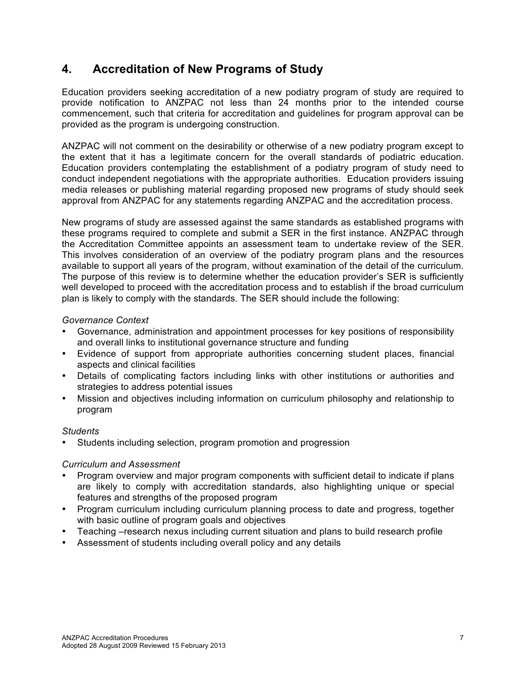# **4. Accreditation of New Programs of Study**

Education providers seeking accreditation of a new podiatry program of study are required to provide notification to ANZPAC not less than 24 months prior to the intended course commencement, such that criteria for accreditation and guidelines for program approval can be provided as the program is undergoing construction.

ANZPAC will not comment on the desirability or otherwise of a new podiatry program except to the extent that it has a legitimate concern for the overall standards of podiatric education. Education providers contemplating the establishment of a podiatry program of study need to conduct independent negotiations with the appropriate authorities. Education providers issuing media releases or publishing material regarding proposed new programs of study should seek approval from ANZPAC for any statements regarding ANZPAC and the accreditation process.

New programs of study are assessed against the same standards as established programs with these programs required to complete and submit a SER in the first instance. ANZPAC through the Accreditation Committee appoints an assessment team to undertake review of the SER. This involves consideration of an overview of the podiatry program plans and the resources available to support all years of the program, without examination of the detail of the curriculum. The purpose of this review is to determine whether the education provider's SER is sufficiently well developed to proceed with the accreditation process and to establish if the broad curriculum plan is likely to comply with the standards. The SER should include the following:

#### *Governance Context*

- Governance, administration and appointment processes for key positions of responsibility and overall links to institutional governance structure and funding
- Evidence of support from appropriate authorities concerning student places, financial aspects and clinical facilities
- Details of complicating factors including links with other institutions or authorities and strategies to address potential issues
- Mission and objectives including information on curriculum philosophy and relationship to program

#### *Students*

Students including selection, program promotion and progression

#### *Curriculum and Assessment*

- Program overview and major program components with sufficient detail to indicate if plans are likely to comply with accreditation standards, also highlighting unique or special features and strengths of the proposed program
- Program curriculum including curriculum planning process to date and progress, together with basic outline of program goals and objectives
- Teaching –research nexus including current situation and plans to build research profile
- Assessment of students including overall policy and any details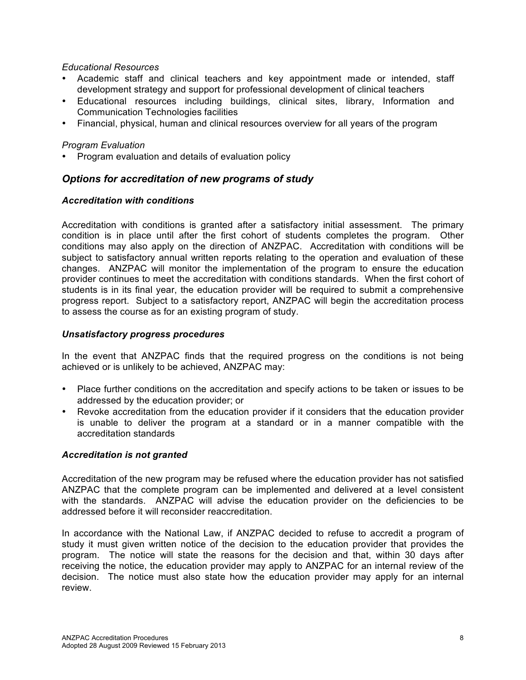#### *Educational Resources*

- Academic staff and clinical teachers and key appointment made or intended, staff development strategy and support for professional development of clinical teachers
- Educational resources including buildings, clinical sites, library, Information and Communication Technologies facilities
- Financial, physical, human and clinical resources overview for all years of the program

#### *Program Evaluation*

• Program evaluation and details of evaluation policy

#### *Options for accreditation of new programs of study*

#### *Accreditation with conditions*

Accreditation with conditions is granted after a satisfactory initial assessment. The primary condition is in place until after the first cohort of students completes the program. Other conditions may also apply on the direction of ANZPAC. Accreditation with conditions will be subject to satisfactory annual written reports relating to the operation and evaluation of these changes. ANZPAC will monitor the implementation of the program to ensure the education provider continues to meet the accreditation with conditions standards. When the first cohort of students is in its final year, the education provider will be required to submit a comprehensive progress report. Subject to a satisfactory report, ANZPAC will begin the accreditation process to assess the course as for an existing program of study.

#### *Unsatisfactory progress procedures*

In the event that ANZPAC finds that the required progress on the conditions is not being achieved or is unlikely to be achieved, ANZPAC may:

- Place further conditions on the accreditation and specify actions to be taken or issues to be addressed by the education provider; or
- Revoke accreditation from the education provider if it considers that the education provider is unable to deliver the program at a standard or in a manner compatible with the accreditation standards

#### *Accreditation is not granted*

Accreditation of the new program may be refused where the education provider has not satisfied ANZPAC that the complete program can be implemented and delivered at a level consistent with the standards. ANZPAC will advise the education provider on the deficiencies to be addressed before it will reconsider reaccreditation.

In accordance with the National Law, if ANZPAC decided to refuse to accredit a program of study it must given written notice of the decision to the education provider that provides the program. The notice will state the reasons for the decision and that, within 30 days after receiving the notice, the education provider may apply to ANZPAC for an internal review of the decision. The notice must also state how the education provider may apply for an internal review.